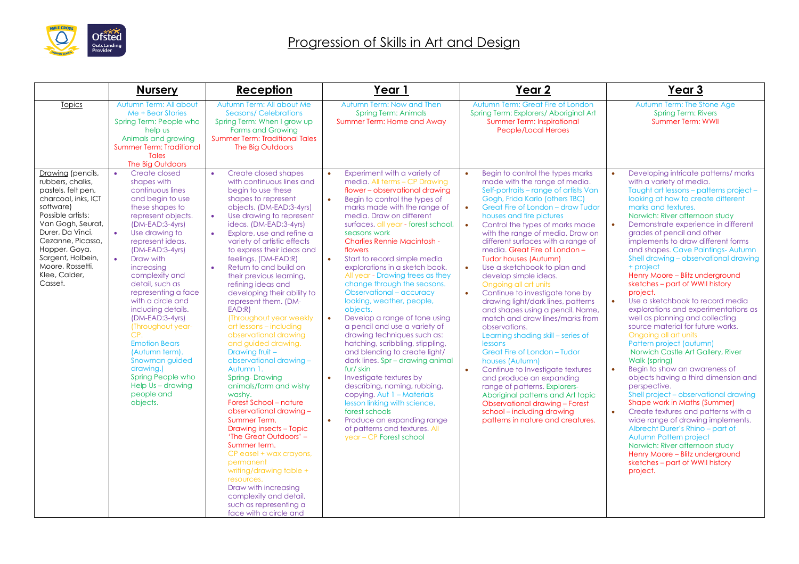

|                                                                                                                                                                                                                                                                          | <b>Nursery</b>                                                                                                                                                                                                                                                                                                                                                                                                                                                                                                                                                 | Reception                                                                                                                                                                                                                                                                                                                                                                                                                                                                                                                                                                                                                                                                                                                                                                                                                                                                                                                                                                                                                                                                | Year 1                                                                                                                                                                                                                                                                                                                                                                                                                                                                                                                                                                                                                                                                                                                                                                                                                                                                                                                                                                                                                                                  | Year <sub>2</sub>                                                                                                                                                                                                                                                                                                                                                                                                                                                                                                                                                                                                                                                                                                                                                                                                                                                                                                                                                                                                                                                           | Year 3                                                                                                                                                                                                                                                                                                                                                                                                                                                                                                                                                                                                                                                                                                                                                                                                                                                                                                                                                                                                                                                                                                                                                                                                                                  |
|--------------------------------------------------------------------------------------------------------------------------------------------------------------------------------------------------------------------------------------------------------------------------|----------------------------------------------------------------------------------------------------------------------------------------------------------------------------------------------------------------------------------------------------------------------------------------------------------------------------------------------------------------------------------------------------------------------------------------------------------------------------------------------------------------------------------------------------------------|--------------------------------------------------------------------------------------------------------------------------------------------------------------------------------------------------------------------------------------------------------------------------------------------------------------------------------------------------------------------------------------------------------------------------------------------------------------------------------------------------------------------------------------------------------------------------------------------------------------------------------------------------------------------------------------------------------------------------------------------------------------------------------------------------------------------------------------------------------------------------------------------------------------------------------------------------------------------------------------------------------------------------------------------------------------------------|---------------------------------------------------------------------------------------------------------------------------------------------------------------------------------------------------------------------------------------------------------------------------------------------------------------------------------------------------------------------------------------------------------------------------------------------------------------------------------------------------------------------------------------------------------------------------------------------------------------------------------------------------------------------------------------------------------------------------------------------------------------------------------------------------------------------------------------------------------------------------------------------------------------------------------------------------------------------------------------------------------------------------------------------------------|-----------------------------------------------------------------------------------------------------------------------------------------------------------------------------------------------------------------------------------------------------------------------------------------------------------------------------------------------------------------------------------------------------------------------------------------------------------------------------------------------------------------------------------------------------------------------------------------------------------------------------------------------------------------------------------------------------------------------------------------------------------------------------------------------------------------------------------------------------------------------------------------------------------------------------------------------------------------------------------------------------------------------------------------------------------------------------|-----------------------------------------------------------------------------------------------------------------------------------------------------------------------------------------------------------------------------------------------------------------------------------------------------------------------------------------------------------------------------------------------------------------------------------------------------------------------------------------------------------------------------------------------------------------------------------------------------------------------------------------------------------------------------------------------------------------------------------------------------------------------------------------------------------------------------------------------------------------------------------------------------------------------------------------------------------------------------------------------------------------------------------------------------------------------------------------------------------------------------------------------------------------------------------------------------------------------------------------|
| Topics                                                                                                                                                                                                                                                                   | Autumn Term: All about<br>Me + Bear Stories<br>Spring Term: People who<br>help us<br>Animals and growing<br><b>Summer Term: Traditional</b><br><b>Tales</b><br>The Big Outdoors                                                                                                                                                                                                                                                                                                                                                                                | Autumn Term: All about Me<br><b>Seasons/Celebrations</b><br>Spring Term: When I grow up<br><b>Farms and Growing</b><br><b>Summer Term: Traditional Tales</b><br>The Big Outdoors                                                                                                                                                                                                                                                                                                                                                                                                                                                                                                                                                                                                                                                                                                                                                                                                                                                                                         | Autumn Term: Now and Then<br><b>Spring Term: Animals</b><br>Summer Term: Home and Away                                                                                                                                                                                                                                                                                                                                                                                                                                                                                                                                                                                                                                                                                                                                                                                                                                                                                                                                                                  | Autumn Term: Great Fire of London<br>Spring Term: Explorers/ Aboriginal Art<br><b>Summer Term: Inspirational</b><br><b>People/Local Heroes</b>                                                                                                                                                                                                                                                                                                                                                                                                                                                                                                                                                                                                                                                                                                                                                                                                                                                                                                                              | Autumn Term: The Stone Age<br><b>Spring Term: Rivers</b><br><b>Summer Term: WWII</b>                                                                                                                                                                                                                                                                                                                                                                                                                                                                                                                                                                                                                                                                                                                                                                                                                                                                                                                                                                                                                                                                                                                                                    |
| Drawing (pencils,<br>rubbers, chalks,<br>pastels, felt pen,<br>charcoal, inks, ICT<br>software)<br>Possible artists:<br>Van Gogh, Seurat,<br>Durer, Da Vinci,<br>Cezanne, Picasso,<br>Hopper, Goya,<br>Sargent, Holbein,<br>Moore, Rossetti,<br>Klee, Calder,<br>Casset. | $\bullet$<br>Create closed<br>shapes with<br>continuous lines<br>and beain to use<br>these shapes to<br>represent objects.<br>(DM-EAD:3-4yrs)<br>$\bullet$<br>Use drawing to<br>represent ideas.<br>(DM-EAD:3-4yrs)<br>$\bullet$<br>Draw with<br>increasing<br>complexity and<br>detail, such as<br>representing a face<br>with a circle and<br>including details.<br>(DM-EAD:3-4yrs)<br>(Throughout year-<br>CP.<br><b>Emotion Bears</b><br>(Autumn term).<br>Snowman guided<br>drawing.)<br>Spring People who<br>Help Us - drawing<br>people and<br>objects. | Create closed shapes<br>$\bullet$<br>with continuous lines and<br>begin to use these<br>shapes to represent<br>objects. (DM-EAD:3-4yrs)<br>Use drawing to represent<br>$\bullet$<br>ideas. (DM-EAD:3-4yrs)<br>Explore, use and refine a<br>$\bullet$<br>variety of artistic effects<br>to express their ideas and<br>feelings. (DM-EAD:R)<br>Return to and build on<br>$\bullet$<br>their previous learning,<br>refining ideas and<br>developing their ability to<br>represent them. (DM-<br>EAD:R<br>(Throughout year weekly<br>art lessons - including<br>observational drawing<br>and guided drawing.<br>Drawing fruit -<br>observational drawing -<br>Autumn 1.<br><b>Spring-Drawing</b><br>animals/farm and wishy<br>washy.<br>Forest School - nature<br>observational drawing -<br>Summer Term.<br><b>Drawing insects - Topic</b><br>'The Great Outdoors' -<br>Summer term.<br>CP easel + wax crayons,<br>permanent<br>writing/drawing table +<br>resources.<br>Draw with increasing<br>complexity and detail.<br>such as representing a<br>face with a circle and | Experiment with a variety of<br>$\bullet$<br>media. All terms - CP Drawing<br>flower - observational drawing<br>Begin to control the types of<br>$\bullet$<br>marks made with the range of<br>media. Draw on different<br>surfaces, all year - forest school,<br>seasons work<br><b>Charlies Rennie Macintosh -</b><br>flowers<br>$\bullet$<br>Start to record simple media<br>explorations in a sketch book.<br>All year - Drawing trees as they<br>change through the seasons.<br>Observational - accuracy<br>looking, weather, people,<br>objects.<br>Develop a range of tone using<br>$\bullet$<br>a pencil and use a variety of<br>drawing techniques such as:<br>hatching, scribbling, stippling,<br>and blending to create light/<br>dark lines. Spr - drawing animal<br>fur/skin<br>$\bullet$<br>Investigate textures by<br>describing, naming, rubbing,<br>copying. Aut 1 - Materials<br>lesson linking with science,<br>forest schools<br>$\bullet$<br>Produce an expanding range<br>of patterns and textures. All<br>year - CP Forest school | Begin to control the types marks<br>$\bullet$<br>made with the range of media.<br>Self-portraits - range of artists Van<br>Gogh, Frida Karlo (others TBC)<br>$\bullet$<br>Great Fire of London - draw Tudor<br>houses and fire pictures<br>$\bullet$<br>Control the types of marks made<br>with the range of media. Draw on<br>different surfaces with a range of<br>media. Great Fire of London -<br><b>Tudor houses (Autumn)</b><br>$\bullet$<br>Use a sketchbook to plan and<br>develop simple ideas.<br>Ongoing all art units<br>Continue to investigate tone by<br>$\bullet$<br>drawing light/dark lines, patterns<br>and shapes using a pencil. Name,<br>match and draw lines/marks from<br>observations.<br>Learning shading skill - series of<br>lessons<br>Great Fire of London - Tudor<br>houses (Autumn)<br>$\bullet$<br>Continue to Investigate textures<br>and produce an expanding<br>range of patterns. Explorers-<br>Aboriginal patterns and Art topic<br>Observational drawing - Forest<br>school - including drawing<br>patterns in nature and creatures. | Developing intricate patterns/marks<br>with a variety of media.<br>Taught art lessons - patterns project -<br>looking at how to create different<br>marks and textures.<br>Norwich: River afternoon study<br>Demonstrate experience in different<br>$\bullet$<br>grades of pencil and other<br>implements to draw different forms<br>and shapes. Cave Paintings-Autumn<br>Shell drawing - observational drawing<br>+ project<br>Henry Moore - Blitz underground<br>sketches - part of WWII history<br>project.<br>Use a sketchbook to record media<br>$\bullet$<br>explorations and experimentations as<br>well as planning and collecting<br>source material for future works.<br>Ongoing all art units<br>Pattern project (autumn)<br>Norwich Castle Art Gallery, River<br>Walk (spring)<br>Begin to show an awareness of<br>objects having a third dimension and<br>perspective.<br>Shell project – observational drawing<br>Shape work in Maths (Summer)<br>Create textures and patterns with a<br>$\bullet$<br>wide range of drawing implements.<br>Albrecht Durer's Rhino - part of<br>Autumn Pattern project<br>Norwich: River afternoon study<br>Henry Moore - Blitz underground<br>sketches - part of WWII history<br>project. |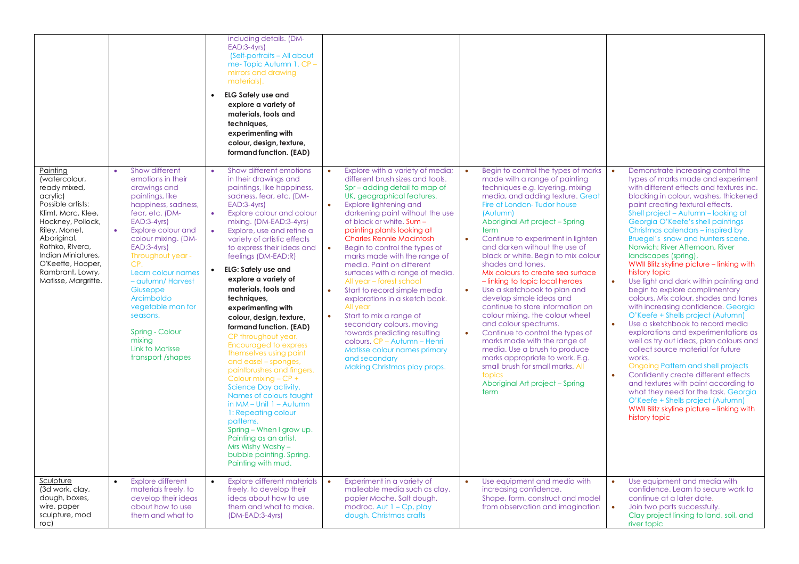|                                                                                                                                                                                                                                                                |                                                                                                                                                                                                                                                                                                                                                                                                                 | including details. (DM-<br>$EAD:3-4yrs$<br>(Self-portraits – All about<br>me-Topic Autumn 1. CP -<br>mirrors and drawing<br>materials).<br><b>ELG Safely use and</b><br>$\bullet$<br>explore a variety of<br>materials, tools and<br>techniques,<br>experimenting with<br>colour, design, texture,<br>formand function. (EAD)                                                                                                                                                                                                                                                                                                                                                                                                                                                                                                                                                                                                              |                                                                                                                                                                                                                                                                                                                                                                                                                                                                                                                                                                                                                                                                                                                                                                                                                    |                                                                                                                                                                                                                                                                                                                                                                                                                                                                                                                                                                                                                                                                                                                                                                                                                                                                                 |                                                                                                                                                                                                                                                                                                                                                                                                                                                                                                                                                                                                                                                                                                                                                                                                                                                                                                                                                                                                                                                                                                                                                     |
|----------------------------------------------------------------------------------------------------------------------------------------------------------------------------------------------------------------------------------------------------------------|-----------------------------------------------------------------------------------------------------------------------------------------------------------------------------------------------------------------------------------------------------------------------------------------------------------------------------------------------------------------------------------------------------------------|--------------------------------------------------------------------------------------------------------------------------------------------------------------------------------------------------------------------------------------------------------------------------------------------------------------------------------------------------------------------------------------------------------------------------------------------------------------------------------------------------------------------------------------------------------------------------------------------------------------------------------------------------------------------------------------------------------------------------------------------------------------------------------------------------------------------------------------------------------------------------------------------------------------------------------------------|--------------------------------------------------------------------------------------------------------------------------------------------------------------------------------------------------------------------------------------------------------------------------------------------------------------------------------------------------------------------------------------------------------------------------------------------------------------------------------------------------------------------------------------------------------------------------------------------------------------------------------------------------------------------------------------------------------------------------------------------------------------------------------------------------------------------|---------------------------------------------------------------------------------------------------------------------------------------------------------------------------------------------------------------------------------------------------------------------------------------------------------------------------------------------------------------------------------------------------------------------------------------------------------------------------------------------------------------------------------------------------------------------------------------------------------------------------------------------------------------------------------------------------------------------------------------------------------------------------------------------------------------------------------------------------------------------------------|-----------------------------------------------------------------------------------------------------------------------------------------------------------------------------------------------------------------------------------------------------------------------------------------------------------------------------------------------------------------------------------------------------------------------------------------------------------------------------------------------------------------------------------------------------------------------------------------------------------------------------------------------------------------------------------------------------------------------------------------------------------------------------------------------------------------------------------------------------------------------------------------------------------------------------------------------------------------------------------------------------------------------------------------------------------------------------------------------------------------------------------------------------|
| Painting<br>(watercolour,<br>ready mixed,<br>acrylic)<br>Possible artists:<br>Klimt, Marc, Klee,<br>Hockney, Pollock,<br>Riley, Monet,<br>Aboriginal,<br>Rothko, Rivera,<br>Indian Miniatures,<br>O'Keeffe, Hooper,<br>Rambrant, Lowry,<br>Matisse, Margritte. | Show different<br>emotions in their<br>drawings and<br>paintings, like<br>happiness, sadness,<br>fear, etc. (DM-<br>$EAD:3-4yrs$<br>Explore colour and<br>$\bullet$<br>colour mixing. (DM-<br>$EAD:3-4yrs$<br>Throughout year -<br>CP.<br>Learn colour names<br>- autumn/Harvest<br>Giuseppe<br>Arcimboldo<br>vegetable man for<br>seasons.<br>Spring - Colour<br>mixing<br>Link to Matisse<br>transport/shapes | Show different emotions<br>$\bullet$<br>in their drawings and<br>paintings, like happiness,<br>sadness, fear, etc. (DM-<br>$EAD:3-4yrs$<br>Explore colour and colour<br>$\bullet$<br>mixing. (DM-EAD:3-4yrs)<br>Explore, use and refine a<br>$\bullet$<br>variety of artistic effects<br>to express their ideas and<br>feelings (DM-EAD:R)<br><b>ELG: Safely use and</b><br>$\bullet$<br>explore a variety of<br>materials, tools and<br>techniques,<br>experimenting with<br>colour, design, texture,<br>formand function. (EAD)<br>CP throughout year.<br>Encouraged to express<br>themselves using paint<br>and easel – sponges,<br>paintbrushes and fingers.<br>Colour mixing - CP +<br>Science Day activity.<br>Names of colours taught<br>in $MM - Unit 1 - Autumn$<br>1: Repeating colour<br>patterns.<br>Spring - When I grow up.<br>Painting as an artist.<br>Mrs Wishy Washy -<br>bubble painting. Spring.<br>Painting with mud. | Explore with a variety of media;<br>$\bullet$<br>different brush sizes and tools.<br>Spr – adding detail to map of<br>UK, geographical features.<br>Explore lightening and<br>$\bullet$<br>darkening paint without the use<br>of black or white. Sum -<br>painting plants looking at<br><b>Charles Rennie Macintosh</b><br>$\bullet$<br>Begin to control the types of<br>marks made with the range of<br>media. Paint on different<br>surfaces with a range of media.<br>All year – forest school<br>Start to record simple media<br>$\bullet$<br>explorations in a sketch book.<br>All year<br>Start to mix a range of<br>$\bullet$<br>secondary colours, moving<br>towards predicting resulting<br>colours. CP - Autumn - Henri<br>Matisse colour names primary<br>and secondary<br>Making Christmas play props. | Begin to control the types of marks<br>made with a range of painting<br>techniques e.g. layering, mixing<br>media, and adding texture. Great<br>Fire of London-Tudor house<br>(Autumn)<br>Aboriginal Art project - Spring<br>term<br>$\bullet$<br>Continue to experiment in lighten<br>and darken without the use of<br>black or white. Begin to mix colour<br>shades and tones.<br>Mix colours to create sea surface<br>- linking to topic local heroes<br>$\bullet$<br>Use a sketchbook to plan and<br>develop simple ideas and<br>continue to store information on<br>colour mixing, the colour wheel<br>and colour spectrums.<br>$\bullet$<br>Continue to control the types of<br>marks made with the range of<br>media. Use a brush to produce<br>marks appropriate to work. E.g.<br>small brush for small marks. All<br>topics<br>Aboriginal Art project - Spring<br>term | Demonstrate increasing control the<br>types of marks made and experiment<br>with different effects and textures inc.<br>blocking in colour, washes, thickened<br>paint creating textural effects.<br>Shell project - Autumn - looking at<br>Georgia O'Keefe's shell paintings<br>Christmas calendars - inspired by<br>Bruegel's snow and hunters scene.<br>Norwich: River Afternoon, River<br>landscapes (spring),<br>WWII Blitz skyline picture – linking with<br>history topic<br>Use light and dark within painting and<br>$\bullet$<br>begin to explore complimentary<br>colours. Mix colour, shades and tones<br>with increasing confidence. Georgia<br>O'Keefe + Shells project (Autumn)<br>Use a sketchbook to record media<br>explorations and experimentations as<br>well as try out ideas, plan colours and<br>collect source material for future<br>works.<br>Ongoing Pattern and shell projects<br>Confidently create different effects<br>$\bullet$<br>and textures with paint according to<br>what they need for the task. Georgia<br>O'Keefe + Shells project (Autumn)<br>WWII Blitz skyline picture - linking with<br>history topic |
| <u>Sculpture</u><br>(3d work, clay,<br>dough, boxes,<br>wire, paper<br>sculpture, mod<br>roc)                                                                                                                                                                  | <b>Explore different</b><br>materials freely, to<br>develop their ideas<br>about how to use<br>them and what to                                                                                                                                                                                                                                                                                                 | <b>Explore different materials</b><br>$\bullet$<br>freely, to develop their<br>ideas about how to use<br>them and what to make.<br>(DM-EAD:3-4yrs)                                                                                                                                                                                                                                                                                                                                                                                                                                                                                                                                                                                                                                                                                                                                                                                         | Experiment in a variety of<br>$\bullet$<br>malleable media such as clay,<br>papier Mache, Salt dough,<br>modroc. Aut $1 - Cp$ , play<br>dough, Christmas crafts                                                                                                                                                                                                                                                                                                                                                                                                                                                                                                                                                                                                                                                    | Use equipment and media with<br>increasing confidence.<br>Shape, form, construct and model<br>from observation and imagination                                                                                                                                                                                                                                                                                                                                                                                                                                                                                                                                                                                                                                                                                                                                                  | Use equipment and media with<br>confidence. Learn to secure work to<br>continue at a later date.<br>Join two parts successfully.<br>Clay project linking to land, soil, and<br>river topic                                                                                                                                                                                                                                                                                                                                                                                                                                                                                                                                                                                                                                                                                                                                                                                                                                                                                                                                                          |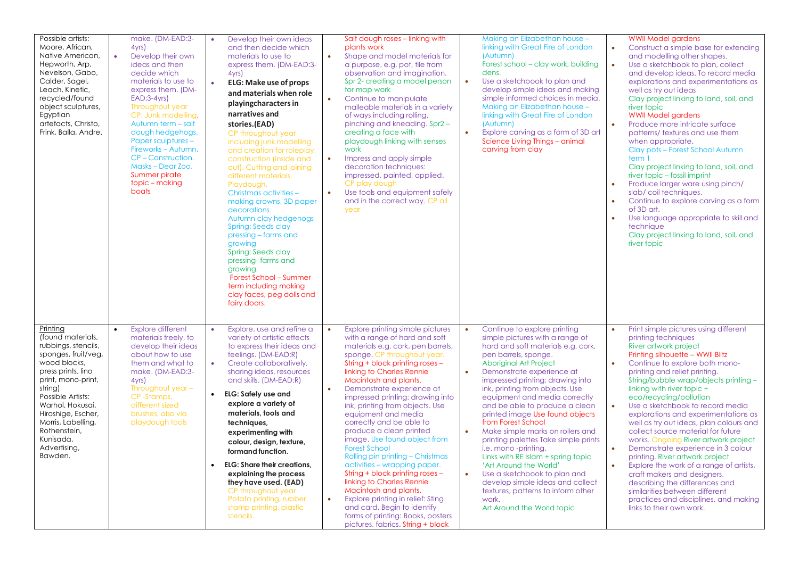| Possible artists:<br>Moore, African,<br>Native American,<br>Hepworth, Arp,<br>Nevelson, Gabo,<br>Calder, Sagel,<br>Leach, Kinetic,<br>recycled/found<br>object sculptures,<br>Egyptian<br>artefacts, Christo,<br>Frink, Balla, Andre.                                                           | make. (DM-EAD:3-<br>4yrs)<br>$\bullet$<br>Develop their own<br>ideas and then<br>decide which<br>materials to use to<br>express them. (DM-<br>$EAD:3-4yrs$<br>Throughout year<br>CP. Junk modelling.<br>Autumn term - salt<br>dough hedgehogs.<br><b>Paper sculptures -</b><br>Fireworks - Autumn.<br>CP-Construction.<br>Masks - Dear Zoo.<br>Summer pirate<br>topic – making<br>boats | Develop their own ideas<br>and then decide which<br>materials to use to<br>express them. (DM-EAD:3-<br>4yrs)<br><b>ELG: Make use of props</b><br>$\bullet$<br>and materials when role<br>playing characters in<br>narratives and<br>stories.(EAD)<br>CP throughout year<br>including junk modelling<br>and creation for roleplay,<br>construction (inside and<br>out). Cutting and joining<br>different materials.<br>Playdough.<br>Christmas activities -<br>making crowns, 3D paper<br>decorations.<br>Autumn clay hedgehogs<br><b>Spring: Seeds clay</b><br>pressing – farms and<br>growing<br>Spring: Seeds clay<br>pressing-farms and<br>growing.<br>Forest School - Summer<br>term including making<br>clay faces, peg dolls and<br>fairy doors. | Salt dough roses - linking with<br>plants work<br>$\bullet$<br>Shape and model materials for<br>a purpose, e.g. pot, tile from<br>observation and imagination.<br>Spr 2- creating a model person<br>for map work<br>Continue to manipulate<br>$\bullet$<br>malleable materials in a variety<br>of ways including rolling,<br>pinching and kneading. Spr2 -<br>creating a face with<br>playdough linking with senses<br>work<br>$\bullet$<br>Impress and apply simple<br>decoration techniques:<br>impressed, painted, applied.<br>CP play dough<br>Use tools and equipment safely<br>$\bullet$<br>and in the correct way. CP all<br>year                                                                                                                                                                      | Making an Elizabethan house -<br>linking with Great Fire of London<br>(Autumn)<br>Forest school – clay work, building<br>dens.<br>$\bullet$<br>Use a sketchbook to plan and<br>develop simple ideas and making<br>simple informed choices in media.<br>Making an Elizabethan house -<br>linking with Great Fire of London<br>(Autumn)<br>$\bullet$<br>Explore carving as a form of 3D art<br>Science Living Things - animal<br>carving from clay                                                                                                                                                                                                                                                                                                           | <b>WWII Model gardens</b><br>Construct a simple base for extending<br>$\bullet$<br>and modelling other shapes.<br>Use a sketchbook to plan, collect<br>$\bullet$<br>and develop ideas. To record media<br>explorations and experimentations as<br>well as try out ideas<br>Clay project linking to land, soil, and<br>river topic<br><b>WWII Model gardens</b><br>Produce more intricate surface<br>$\bullet$<br>patterns/ textures and use them<br>when appropriate.<br>Clay pots - Forest School Autumn<br>term 1<br>Clay project linking to land, soil, and<br>river topic - fossil imprint<br>Produce larger ware using pinch/<br>slab/coil techniques.<br>Continue to explore carving as a form<br>$\bullet$<br>of 3D art.<br>Use language appropriate to skill and<br>technique<br>Clay project linking to land, soil, and<br>river topic     |
|-------------------------------------------------------------------------------------------------------------------------------------------------------------------------------------------------------------------------------------------------------------------------------------------------|-----------------------------------------------------------------------------------------------------------------------------------------------------------------------------------------------------------------------------------------------------------------------------------------------------------------------------------------------------------------------------------------|--------------------------------------------------------------------------------------------------------------------------------------------------------------------------------------------------------------------------------------------------------------------------------------------------------------------------------------------------------------------------------------------------------------------------------------------------------------------------------------------------------------------------------------------------------------------------------------------------------------------------------------------------------------------------------------------------------------------------------------------------------|---------------------------------------------------------------------------------------------------------------------------------------------------------------------------------------------------------------------------------------------------------------------------------------------------------------------------------------------------------------------------------------------------------------------------------------------------------------------------------------------------------------------------------------------------------------------------------------------------------------------------------------------------------------------------------------------------------------------------------------------------------------------------------------------------------------|------------------------------------------------------------------------------------------------------------------------------------------------------------------------------------------------------------------------------------------------------------------------------------------------------------------------------------------------------------------------------------------------------------------------------------------------------------------------------------------------------------------------------------------------------------------------------------------------------------------------------------------------------------------------------------------------------------------------------------------------------------|-----------------------------------------------------------------------------------------------------------------------------------------------------------------------------------------------------------------------------------------------------------------------------------------------------------------------------------------------------------------------------------------------------------------------------------------------------------------------------------------------------------------------------------------------------------------------------------------------------------------------------------------------------------------------------------------------------------------------------------------------------------------------------------------------------------------------------------------------------|
| Printing<br>(found materials,<br>rubbings, stencils,<br>sponges, fruit/veg,<br>wood blocks,<br>press prints, lino<br>print, mono-print,<br>string)<br>Possible Artists:<br>Warhol, Hokusai,<br>Hiroshige, Escher,<br>Morris, Labelling,<br>Rothenstein.<br>Kunisada,<br>Advertising,<br>Bawden. | <b>Explore different</b><br>materials freely, to<br>develop their ideas<br>about how to use<br>them and what to<br>make. (DM-EAD:3-<br>4yrs<br>Throughout year -<br>CP-Stamps,<br>different sized<br>brushes, also via<br>playdough tools                                                                                                                                               | Explore, use and refine a<br>variety of artistic effects<br>to express their ideas and<br>feelings. (DM-EAD:R)<br>Create collaboratively,<br>$\bullet$<br>sharing ideas, resources<br>and skills. (DM-EAD:R)<br><b>ELG: Safely use and</b><br>$\bullet$<br>explore a variety of<br>materials, tools and<br>techniques,<br>experimenting with<br>colour, design, texture,<br>formand function.<br><b>ELG: Share their creations,</b><br>$\bullet$<br>explaining the process<br>they have used. (EAD)<br>CP throughout year.<br>Potato printing, rubber<br>stamp printing, plastic<br>stencils.                                                                                                                                                          | Explore printing simple pictures<br>with a range of hard and soft<br>materials e.g. cork, pen barrels,<br>sponge. CP throughout year.<br>String + block printing roses -<br>linking to Charles Rennie<br>Macintosh and plants.<br>Demonstrate experience at<br>$\bullet$<br>impressed printing: drawing into<br>ink, printing from objects. Use<br>equipment and media<br>correctly and be able to<br>produce a clean printed<br>image. Use found object from<br><b>Forest School</b><br>Rolling pin printing - Christmas<br>activities - wrapping paper.<br>String + block printing roses -<br>linking to Charles Rennie<br>Macintosh and plants.<br>Explore printing in relief: Sting<br>$\bullet$<br>and card. Begin to identify<br>forms of printing: Books, posters<br>pictures, fabrics. String + block | Continue to explore printing<br>simple pictures with a range of<br>hard and soft materials e.g. cork,<br>pen barrels, sponge.<br><b>Aboriginal Art Project</b><br>$\bullet$<br>Demonstrate experience at<br>impressed printing: drawing into<br>ink, printing from objects. Use<br>equipment and media correctly<br>and be able to produce a clean<br>printed image Use found objects<br>from Forest School<br>$\bullet$<br>Make simple marks on rollers and<br>printing palettes Take simple prints<br>i.e. mono -printing.<br>Links with RE Islam + spring topic<br>'Art Around the World'<br>$\bullet$<br>Use a sketchbook to plan and<br>develop simple ideas and collect<br>textures, patterns to inform other<br>work.<br>Art Around the World topic | Print simple pictures using different<br>printing techniques<br>River artwork project<br>Printing silhouette - WWII Blitz<br>Continue to explore both mono-<br>$\bullet$<br>printing and relief printing.<br>String/bubble wrap/objects printing -<br>linking with river topic +<br>eco/recycling/pollution<br>$\bullet$<br>Use a sketchbook to record media<br>explorations and experimentations as<br>well as try out ideas, plan colours and<br>collect source material for future<br>works. Ongoing River artwork project<br>$\bullet$<br>Demonstrate experience in 3 colour<br>printing. River artwork project<br>Explore the work of a range of artists,<br>$\bullet$<br>craft makers and designers,<br>describing the differences and<br>similarities between different<br>practices and disciplines, and making<br>links to their own work. |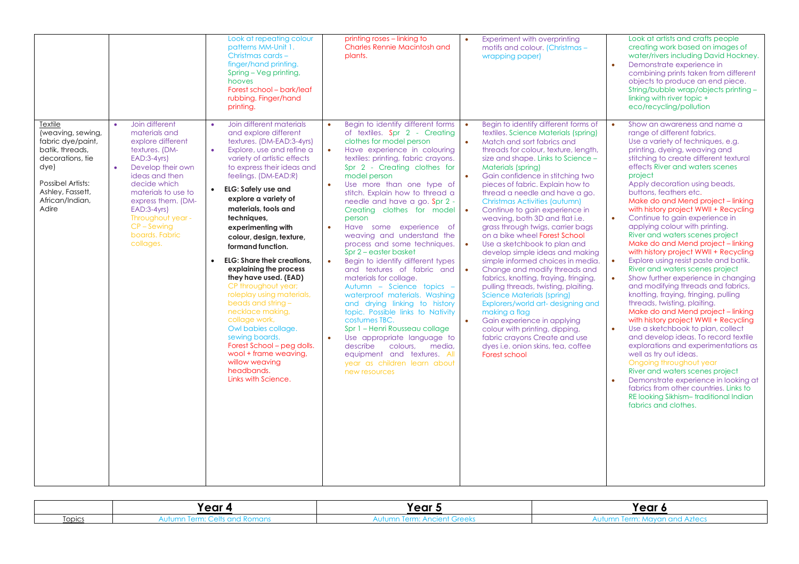|                                                                                                                                                                       |                                                                                                                                                                                                                                                                                                                       | Look at repeating colour<br>patterns MM-Unit 1.<br>Christmas cards -<br>finger/hand printing.<br>Spring - Veg printing,<br>hooves<br>Forest school - bark/leaf<br>rubbing. Finger/hand<br>printing.                                                                                                                                                                                                                                                                                                                                                                                                                                                                                                                                                                                       | printing roses – linking to<br><b>Charles Rennie Macintosh and</b><br>plants.                                                                                                                                                                                                                                                                                                                                                                                                                                                                                                                                                                                                                                                                                                                                                                                                                                                                                                                    | Experiment with overprinting<br>$\bullet$<br>motifs and colour. (Christmas -<br>wrapping paper)                                                                                                                                                                                                                                                                                                                                                                                                                                                                                                                                                                                                                                                                                                                                                                                                                                                                                                                                                                                            | Look at artists and crafts people<br>creating work based on images of<br>water/rivers including David Hockney.<br>$\bullet$<br>Demonstrate experience in<br>combining prints taken from different<br>objects to produce an end piece.<br>String/bubble wrap/objects printing -<br>linking with river topic +<br>eco/recycling/pollution                                                                                                                                                                                                                                                                                                                                                                                                                                                                                                                                                                                                                                                                                                                                                                                                                                                                                                                             |
|-----------------------------------------------------------------------------------------------------------------------------------------------------------------------|-----------------------------------------------------------------------------------------------------------------------------------------------------------------------------------------------------------------------------------------------------------------------------------------------------------------------|-------------------------------------------------------------------------------------------------------------------------------------------------------------------------------------------------------------------------------------------------------------------------------------------------------------------------------------------------------------------------------------------------------------------------------------------------------------------------------------------------------------------------------------------------------------------------------------------------------------------------------------------------------------------------------------------------------------------------------------------------------------------------------------------|--------------------------------------------------------------------------------------------------------------------------------------------------------------------------------------------------------------------------------------------------------------------------------------------------------------------------------------------------------------------------------------------------------------------------------------------------------------------------------------------------------------------------------------------------------------------------------------------------------------------------------------------------------------------------------------------------------------------------------------------------------------------------------------------------------------------------------------------------------------------------------------------------------------------------------------------------------------------------------------------------|--------------------------------------------------------------------------------------------------------------------------------------------------------------------------------------------------------------------------------------------------------------------------------------------------------------------------------------------------------------------------------------------------------------------------------------------------------------------------------------------------------------------------------------------------------------------------------------------------------------------------------------------------------------------------------------------------------------------------------------------------------------------------------------------------------------------------------------------------------------------------------------------------------------------------------------------------------------------------------------------------------------------------------------------------------------------------------------------|---------------------------------------------------------------------------------------------------------------------------------------------------------------------------------------------------------------------------------------------------------------------------------------------------------------------------------------------------------------------------------------------------------------------------------------------------------------------------------------------------------------------------------------------------------------------------------------------------------------------------------------------------------------------------------------------------------------------------------------------------------------------------------------------------------------------------------------------------------------------------------------------------------------------------------------------------------------------------------------------------------------------------------------------------------------------------------------------------------------------------------------------------------------------------------------------------------------------------------------------------------------------|
| Textile<br>(weaving, sewing,<br>fabric dye/paint,<br>batik, threads,<br>decorations, tie<br>dye)<br>Possibel Artists:<br>Ashley, Fassett,<br>African/Indian,<br>Adire | Join different<br>$\bullet$<br>materials and<br>explore different<br>textures. (DM-<br>$EAD:3-4yrs$<br>$\bullet$<br>Develop their own<br>ideas and then<br>decide which<br>materials to use to<br>express them. (DM-<br>$EAD:3-4yrs$<br>Throughout year -<br>$CP - \overline{S}$ ewing<br>boards. Fabric<br>collages. | Join different materials<br>$\bullet$<br>and explore different<br>textures. (DM-EAD:3-4yrs)<br>$\bullet$<br>Explore, use and refine a<br>variety of artistic effects<br>to express their ideas and<br>feelings. (DM-EAD:R)<br><b>ELG: Safely use and</b><br>$\bullet$<br>explore a variety of<br>materials, tools and<br>techniques,<br>experimenting with<br>colour, design, texture,<br>formand function.<br><b>ELG: Share their creations,</b><br>$\bullet$<br>explaining the process<br>they have used. (EAD)<br>CP throughout year;<br>roleplay using materials,<br>beads and string $-$<br>necklace making,<br>collage work,<br>Owl babies collage.<br>sewing boards.<br>Forest School – peg dolls.<br>wool + frame weaving,<br>willow weaving<br>headbands.<br>Links with Science. | Begin to identify different forms<br>$\bullet$<br>of textiles. Spr 2 - Creating<br>clothes for model person<br>$\bullet$<br>Have experience in colouring<br>textiles: printing, fabric crayons.<br>Spr 2 - Creating clothes for<br>model person<br>Use more than one type of<br>$\bullet$<br>stitch. Explain how to thread a<br>needle and have a go. Spr 2 -<br>Creating clothes for model<br>person<br>Have some experience of<br>$\bullet$<br>weaving and understand the<br>process and some techniques.<br>Spr 2 – easter basket<br>$\bullet$<br>Begin to identify different types<br>and textures of fabric and<br>materials for collage.<br>Autumn - Science topics -<br>waterproof materials. Washing<br>and drying linking to history<br>topic. Possible links to Nativity<br>costumes TBC.<br>Spr 1 - Henri Rousseau collage<br>Use appropriate language to<br>$\bullet$<br>describe<br>colours, media,<br>equipment and textures. All<br>year as children learn about<br>new resources | Begin to identify different forms of<br>$\bullet$<br>textiles. Science Materials (spring)<br>Match and sort fabrics and<br>$\bullet$<br>threads for colour, texture, length,<br>size and shape. Links to Science -<br><b>Materials (spring)</b><br>Gain confidence in stitching two<br>$\bullet$<br>pieces of fabric. Explain how to<br>thread a needle and have a go.<br><b>Christmas Activities (autumn)</b><br>Continue to gain experience in<br>$\bullet$<br>weaving, both 3D and flat i.e.<br>grass through twigs, carrier bags<br>on a bike wheel Forest School<br>Use a sketchbook to plan and<br>$\bullet$<br>develop simple ideas and making<br>simple informed choices in media.<br>Change and modify threads and<br>$\bullet$<br>fabrics, knotting, fraying, fringing,<br>pulling threads, twisting, plaiting.<br><b>Science Materials (spring)</b><br>Explorers/world art-designing and<br>making a flag<br>Gain experience in applying<br>$\bullet$<br>colour with printing, dipping,<br>fabric crayons Create and use<br>dyes i.e. onion skins, tea, coffee<br>Forest school | Show an awareness and name a<br>range of different fabrics.<br>Use a variety of techniques, e.g.<br>printing, dyeing, weaving and<br>stitching to create different textural<br>effects River and waters scenes<br>project<br>Apply decoration using beads,<br>buttons, feathers etc.<br>Make do and Mend project - linking<br>with history project WWII + Recycling<br>$\bullet$<br>Continue to gain experience in<br>applying colour with printing.<br>River and waters scenes project<br>Make do and Mend project - linking<br>with history project WWII + Recycling<br>Explore using resist paste and batik.<br>$\bullet$<br>River and waters scenes project<br>Show further experience in changing<br>and modifying threads and fabrics,<br>knotting, fraying, fringing, pulling<br>threads, twisting, plaiting.<br>Make do and Mend project - linking<br>with history project WWII + Recycling<br>Use a sketchbook to plan, collect<br>and develop ideas. To record textile<br>explorations and experimentations as<br>well as try out ideas.<br>Ongoing throughout year<br>River and waters scenes project<br>Demonstrate experience in looking at<br>fabrics from other countries. Links to<br>RE looking Sikhism-traditional Indian<br>fabrics and clothes. |

|        | Year     | Year $\sim$             | Year .                                                  |
|--------|----------|-------------------------|---------------------------------------------------------|
| iopics | NUIUITII | rerm: .<br>. טו<br>1.11 | .<br><b>UITU ALI</b><br>1979 S<br>יי <i>יי יי יי דו</i> |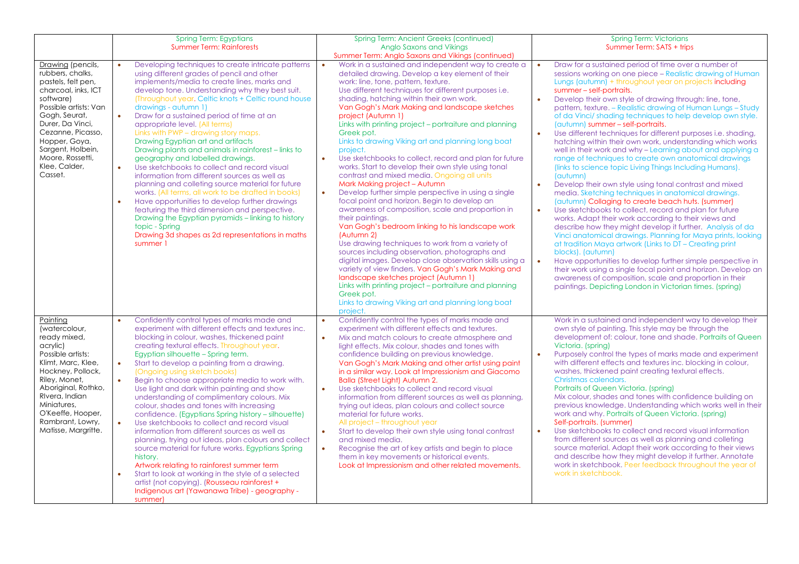|                                                                                                                                                                                                                                                                          | <b>Spring Term: Egyptians</b><br><b>Summer Term: Rainforests</b>                                                                                                                                                                                                                                                                                                                                                                                                                                                                                                                                                                                                                                                                                                                                                                                                                                                                                                                                                                                                                       | <b>Spring Term: Ancient Greeks (continued)</b><br>Anglo Saxons and Vikings                                                                                                                                                                                                                                                                                                                                                                                                                                                                                                                                                                                                                                                                                                                                                                                                                                                                                                                                                                                                                                                                                                                                                                                                                                                                                                                                        | <b>Spring Term: Victorians</b><br>Summer Term: SATS + trips                                                                                                                                                                                                                                                                                                                                                                                                                                                                                                                                                                                                                                                                                                                                                                                                                                                                                                                                                                                                                                                                                                                                                                                                                                                                                                                                                                                                                                                                     |
|--------------------------------------------------------------------------------------------------------------------------------------------------------------------------------------------------------------------------------------------------------------------------|----------------------------------------------------------------------------------------------------------------------------------------------------------------------------------------------------------------------------------------------------------------------------------------------------------------------------------------------------------------------------------------------------------------------------------------------------------------------------------------------------------------------------------------------------------------------------------------------------------------------------------------------------------------------------------------------------------------------------------------------------------------------------------------------------------------------------------------------------------------------------------------------------------------------------------------------------------------------------------------------------------------------------------------------------------------------------------------|-------------------------------------------------------------------------------------------------------------------------------------------------------------------------------------------------------------------------------------------------------------------------------------------------------------------------------------------------------------------------------------------------------------------------------------------------------------------------------------------------------------------------------------------------------------------------------------------------------------------------------------------------------------------------------------------------------------------------------------------------------------------------------------------------------------------------------------------------------------------------------------------------------------------------------------------------------------------------------------------------------------------------------------------------------------------------------------------------------------------------------------------------------------------------------------------------------------------------------------------------------------------------------------------------------------------------------------------------------------------------------------------------------------------|---------------------------------------------------------------------------------------------------------------------------------------------------------------------------------------------------------------------------------------------------------------------------------------------------------------------------------------------------------------------------------------------------------------------------------------------------------------------------------------------------------------------------------------------------------------------------------------------------------------------------------------------------------------------------------------------------------------------------------------------------------------------------------------------------------------------------------------------------------------------------------------------------------------------------------------------------------------------------------------------------------------------------------------------------------------------------------------------------------------------------------------------------------------------------------------------------------------------------------------------------------------------------------------------------------------------------------------------------------------------------------------------------------------------------------------------------------------------------------------------------------------------------------|
| Drawing (pencils,<br>rubbers, chalks,<br>pastels, felt pen,<br>charcoal, inks, ICT<br>software)<br>Possible artists: Van<br>Gogh, Seurat,<br>Durer, Da Vinci,<br>Cezanne, Picasso,<br>Hopper, Goya,<br>Sargent, Holbein,<br>Moore, Rossetti,<br>Klee, Calder,<br>Casset. | Developing techniques to create intricate patterns<br>$\bullet$<br>using different grades of pencil and other<br>implements/media to create lines, marks and<br>develop tone. Understanding why they best suit.<br>(Throughout year, Celtic knots + Celtic round house)<br>drawings - autumn 1)<br>$\bullet$<br>Draw for a sustained period of time at an<br>appropriate level. (All terms)<br>Links with PWP - drawing story maps.<br>Drawing Egyptian art and artifacts<br>Drawing plants and animals in rainforest – links to<br>geography and labelled drawings.<br>Use sketchbooks to collect and record visual<br>$\bullet$<br>information from different sources as well as<br>planning and colleting source material for future<br>works. (All terms, all work to be drafted in books)<br>Have opportunities to develop further drawings<br>$\bullet$<br>featuring the third dimension and perspective.<br>Drawing the Egyptian pyramids - linking to history<br>topic - Spring<br>Drawing 3d shapes as 2d representations in maths<br>summer 1                                | Summer Term: Anglo Saxons and Vikings (continued)<br>Work in a sustained and independent way to create a<br>detailed drawing. Develop a key element of their<br>work: line, tone, pattern, texture.<br>Use different techniques for different purposes i.e.<br>shading, hatching within their own work.<br>Van Gogh's Mark Making and landscape sketches<br>project (Autumn 1)<br>Links with printing project – portraiture and planning<br>Greek pot.<br>Links to drawing Viking art and planning long boat<br>project.<br>$\bullet$<br>Use sketchbooks to collect, record and plan for future<br>works. Start to develop their own style using tonal<br>contrast and mixed media. Ongoing all units<br>Mark Making project - Autumn<br>$\bullet$<br>Develop further simple perspective in using a single<br>focal point and horizon. Begin to develop an<br>awareness of composition, scale and proportion in<br>their paintings.<br>Van Gogh's bedroom linking to his landscape work<br>(Autumn 2)<br>Use drawing techniques to work from a variety of<br>sources including observation, photographs and<br>digital images. Develop close observation skills using a<br>variety of view finders. Van Gogh's Mark Making and<br>landscape sketches project (Autumn 1)<br>Links with printing project - portraiture and planning<br>Greek pot.<br>Links to drawing Viking art and planning long boat<br>project. | Draw for a sustained period of time over a number of<br>sessions working on one piece – Realistic drawing of Human<br>Lungs (autumn) + throughout year on projects including<br>summer - self-portraits.<br>Develop their own style of drawing through: line, tone,<br>pattern, texture. – Realistic drawing of Human Lungs – Study<br>of da Vinci/shading techniques to help develop own style.<br>(autumn) summer - self-portraits.<br>Use different techniques for different purposes i.e. shading,<br>hatching within their own work, understanding which works<br>well in their work and why - Learning about and applying a<br>range of techniques to create own anatomical drawings<br>(links to science topic Living Things Including Humans).<br>(autumn)<br>Develop their own style using tonal contrast and mixed<br>media. Sketching techniques in anatomical drawings.<br>(autumn) Collaging to create beach huts. (summer)<br>Use sketchbooks to collect, record and plan for future<br>works. Adapt their work according to their views and<br>describe how they might develop it further. Analysis of da<br>Vinci anatomical drawings. Planning for Maya prints, looking<br>at tradition Maya artwork (Links to DT - Creating print<br>blocks). (autumn)<br>Have opportunities to develop further simple perspective in<br>their work using a single focal point and horizon. Develop an<br>awareness of composition, scale and proportion in their<br>paintings. Depicting London in Victorian times. (spring) |
| Painting<br>(watercolour,<br>ready mixed,<br>acrylic)<br>Possible artists:<br>Klimt, Marc, Klee,<br>Hockney, Pollock,<br>Riley, Monet,<br>Aboriginal, Rothko,<br>Rivera, Indian<br>Miniatures,<br>O'Keeffe, Hooper,<br>Rambrant, Lowry,<br>Matisse, Margritte.           | Confidently control types of marks made and<br>$\bullet$<br>experiment with different effects and textures inc.<br>blocking in colour, washes, thickened paint<br>creating textural effects. Throughout year.<br>Egyptian silhouette - Spring term.<br>Start to develop a painting from a drawing.<br>$\bullet$<br>(Ongoing using sketch books)<br>Begin to choose appropriate media to work with.<br>$\bullet$<br>Use light and dark within painting and show<br>understanding of complimentary colours. Mix<br>colour, shades and tones with increasing<br>confidence. (Egyptians Spring history – silhouette)<br>Use sketchbooks to collect and record visual<br>$\bullet$<br>information from different sources as well as<br>planning, trying out ideas, plan colours and collect<br>source material for future works. Egyptians Spring<br>history.<br>Artwork relating to rainforest summer term<br>$\bullet$<br>Start to look at working in the style of a selected<br>artist (not copying). (Rousseau rainforest +<br>Indigenous art (Yawanawa Tribe) - geography -<br>summer) | Confidently control the types of marks made and<br>experiment with different effects and textures.<br>$\bullet$<br>Mix and match colours to create atmosphere and<br>light effects. Mix colour, shades and tones with<br>confidence building on previous knowledge.<br>Van Gogh's Mark Making and other artist using paint<br>in a similar way. Look at Impressionism and Giacomo<br>Balla (Street Light) Autumn 2.<br>$\bullet$<br>Use sketchbooks to collect and record visual<br>information from different sources as well as planning,<br>trying out ideas, plan colours and collect source<br>material for future works.<br>All project - throughout year<br>Start to develop their own style using tonal contrast<br>and mixed media.<br>Recognise the art of key artists and begin to place<br>$\bullet$<br>them in key movements or historical events.<br>Look at Impressionism and other related movements.                                                                                                                                                                                                                                                                                                                                                                                                                                                                                             | Work in a sustained and independent way to develop their<br>own style of painting. This style may be through the<br>development of: colour, tone and shade. Portraits of Queen<br>Victoria. (spring)<br>Purposely control the types of marks made and experiment<br>with different effects and textures inc. blocking in colour,<br>washes, thickened paint creating textural effects.<br>Christmas calendars.<br>Portraits of Queen Victoria. (spring)<br>Mix colour, shades and tones with confidence building on<br>previous knowledge. Understanding which works well in their<br>work and why. Portraits of Queen Victoria. (spring)<br>Self-portraits. (summer)<br>Use sketchbooks to collect and record visual information<br>from different sources as well as planning and colleting<br>source material. Adapt their work according to their views<br>and describe how they might develop it further. Annotate<br>work in sketchbook. Peer feedback throughout the year of<br>work in sketchbook.                                                                                                                                                                                                                                                                                                                                                                                                                                                                                                                      |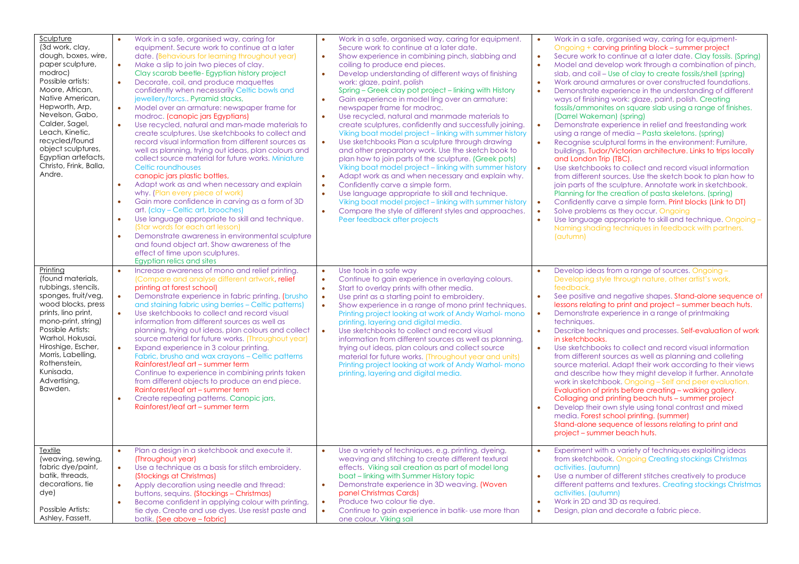| Sculpture<br>(3d work, clay,<br>dough, boxes, wire,<br>paper sculpture,<br>modroc)<br>Possible artists:<br>Moore, African,<br>Native American,<br>Hepworth, Arp,<br>Nevelson, Gabo,<br>Calder, Sagel,<br>Leach, Kinetic,<br>recycled/found<br>object sculptures,<br>Egyptian artefacts,<br>Christo, Frink, Balla,<br>Andre.<br>Printing | $\bullet$<br>$\bullet$<br>$\bullet$<br>$\bullet$<br>$\bullet$<br>$\bullet$<br>$\bullet$<br>$\bullet$<br>$\bullet$ | Work in a safe, organised way, caring for<br>equipment. Secure work to continue at a later<br>date. (Behaviours for learning throughout year)<br>Make a slip to join two pieces of clay.<br>Clay scarab beetle-Egyptian history project<br>Decorate, coil, and produce maquettes<br>confidently when necessarily Celtic bowls and<br>jewellery/torcs Pyramid stacks,<br>Model over an armature: newspaper frame for<br>modroc. (canopic jars Egyptians)<br>Use recycled, natural and man-made materials to<br>create sculptures. Use sketchbooks to collect and<br>record visual information from different sources as<br>well as planning, trying out ideas, plan colours and<br>collect source material for future works. Miniature<br>Celtic roundhouses<br>canopic jars plastic bottles,<br>Adapt work as and when necessary and explain<br>why. (Plan every piece of work)<br>Gain more confidence in carving as a form of 3D<br>art. (clay – Celtic art, brooches)<br>Use language appropriate to skill and technique.<br>(Star words for each art lesson)<br>Demonstrate awareness in environmental sculpture<br>and found object art. Show awareness of the<br>effect of time upon sculptures.<br>Egyptian relics and sites | $\bullet$<br>$\bullet$<br>$\bullet$<br>$\bullet$<br>$\bullet$<br>$\bullet$ | Work in a safe, organised way, caring for equipment.<br>Secure work to continue at a later date.<br>Show experience in combining pinch, slabbing and<br>coiling to produce end pieces.<br>Develop understanding of different ways of finishing<br>work: glaze, paint, polish<br>Spring – Greek clay pot project – linking with History<br>Gain experience in model ling over an armature:<br>newspaper frame for modroc.<br>Use recycled, natural and manmade materials to<br>create sculptures, confidently and successfully joining.<br>Viking boat model project – linking with summer history<br>Use sketchbooks Plan a sculpture through drawing<br>and other preparatory work. Use the sketch book to<br>plan how to join parts of the sculpture. (Greek pots)<br>Viking boat model project – linking with summer history<br>Adapt work as and when necessary and explain why.<br>Confidently carve a simple form.<br>Use language appropriate to skill and technique.<br>Viking boat model project - linking with summer history<br>Compare the style of different styles and approaches.<br>Peer feedback after projects<br>Use tools in a safe way | $\bullet$<br>$\bullet$<br>$\bullet$<br>$\bullet$<br>$\bullet$<br>$\bullet$ | Work in a safe, organised way, caring for equipment-<br>Ongoing + carving printing block - summer project<br>Secure work to continue at a later date. Clay fossils. (Spring)<br>Model and develop work through a combination of pinch,<br>slab, and coil – Use of clay to create fossils/shell (spring)<br>Work around armatures or over constructed foundations.<br>Demonstrate experience in the understanding of different<br>ways of finishing work: glaze, paint, polish. Creating<br>fossils/ammonites on square slab using a range of finishes.<br>(Darrel Wakeman) (spring)<br>Demonstrate experience in relief and freestanding work<br>using a range of media – Pasta skeletons. (spring)<br>Recognise sculptural forms in the environment: Furniture,<br>buildings. Tudor/Victorian architecture. Links to trips locally<br>and London Trip (TBC).<br>Use sketchbooks to collect and record visual information<br>from different sources. Use the sketch book to plan how to<br>join parts of the sculpture. Annotate work in sketchbook.<br>Planning for the creation of pasta skeletons. (spring)<br>Confidently carve a simple form. Print blocks (Link to DT)<br>Solve problems as they occur. Ongoing<br>Use language appropriate to skill and technique. Ongoing -<br>Naming shading techniques in feedback with partners.<br>(autumn)<br>Develop ideas from a range of sources. Ongoing - |
|-----------------------------------------------------------------------------------------------------------------------------------------------------------------------------------------------------------------------------------------------------------------------------------------------------------------------------------------|-------------------------------------------------------------------------------------------------------------------|-------------------------------------------------------------------------------------------------------------------------------------------------------------------------------------------------------------------------------------------------------------------------------------------------------------------------------------------------------------------------------------------------------------------------------------------------------------------------------------------------------------------------------------------------------------------------------------------------------------------------------------------------------------------------------------------------------------------------------------------------------------------------------------------------------------------------------------------------------------------------------------------------------------------------------------------------------------------------------------------------------------------------------------------------------------------------------------------------------------------------------------------------------------------------------------------------------------------------------------|----------------------------------------------------------------------------|-------------------------------------------------------------------------------------------------------------------------------------------------------------------------------------------------------------------------------------------------------------------------------------------------------------------------------------------------------------------------------------------------------------------------------------------------------------------------------------------------------------------------------------------------------------------------------------------------------------------------------------------------------------------------------------------------------------------------------------------------------------------------------------------------------------------------------------------------------------------------------------------------------------------------------------------------------------------------------------------------------------------------------------------------------------------------------------------------------------------------------------------------------------|----------------------------------------------------------------------------|-------------------------------------------------------------------------------------------------------------------------------------------------------------------------------------------------------------------------------------------------------------------------------------------------------------------------------------------------------------------------------------------------------------------------------------------------------------------------------------------------------------------------------------------------------------------------------------------------------------------------------------------------------------------------------------------------------------------------------------------------------------------------------------------------------------------------------------------------------------------------------------------------------------------------------------------------------------------------------------------------------------------------------------------------------------------------------------------------------------------------------------------------------------------------------------------------------------------------------------------------------------------------------------------------------------------------------------------------------------------------------------------------------------|
| (found materials,<br>rubbings, stencils,<br>sponges, fruit/veg,<br>wood blocks, press<br>prints, lino print,<br>mono-print, string)<br>Possible Artists:<br>Warhol, Hokusai,<br>Hiroshige, Escher,<br>Morris, Labelling,<br>Rothenstein,<br>Kunisada,<br>Advertising,<br>Bawden.                                                        | $\bullet$<br>$\bullet$<br>$\bullet$<br>$\bullet$                                                                  | Increase awareness of mono and relief printing.<br>(Compare and analyse different artwork, relief<br>printing at forest school)<br>Demonstrate experience in fabric printing. (brusho<br>and staining fabric using berries - Celtic patterns)<br>Use sketchbooks to collect and record visual<br>information from different sources as well as<br>planning, trying out ideas, plan colours and collect<br>source material for future works. (Throughout year)<br>Expand experience in 3 colour printing.<br>Fabric, brusho and wax crayons - Celtic patterns<br>Rainforest/leaf art - summer term<br>Continue to experience in combining prints taken<br>from different objects to produce an end piece.<br>Rainforest/leaf art – summer term<br>Create repeating patterns. Canopic jars,<br>Rainforest/leaf art - summer term                                                                                                                                                                                                                                                                                                                                                                                                      | $\bullet$<br>$\bullet$<br>$\bullet$<br>$\bullet$                           | Continue to gain experience in overlaying colours.<br>Start to overlay prints with other media.<br>Use print as a starting point to embroidery.<br>Show experience in a range of mono print techniques.<br>Printing project looking at work of Andy Warhol- mono<br>printing, layering and digital media.<br>Use sketchbooks to collect and record visual<br>information from different sources as well as planning<br>trying out ideas, plan colours and collect source<br>material for future works. (Throughout year and units)<br>Printing project looking at work of Andy Warhol- mono<br>printing, layering and digital media.                                                                                                                                                                                                                                                                                                                                                                                                                                                                                                                        | $\bullet$<br>$\bullet$<br>$\bullet$                                        | Developing style through nature, other artist's work,<br>feedback.<br>See positive and negative shapes. Stand-alone sequence of<br>lessons relating to print and project – summer beach huts.<br>Demonstrate experience in a range of printmaking<br>techniques.<br>Describe techniques and processes. Self-evaluation of work<br>in sketchbooks.<br>Use sketchbooks to collect and record visual information<br>from different sources as well as planning and colleting<br>source material. Adapt their work according to their views<br>and describe how they might develop it further. Annotate<br>work in sketchbook. Ongoing - Self and peer evaluation.<br>Evaluation of prints before creating - walking gallery.<br>Collaging and printing beach huts - summer project<br>Develop their own style using tonal contrast and mixed<br>media. Forest school printing. (summer)<br>Stand-alone sequence of lessons relating to print and<br>project - summer beach huts.                                                                                                                                                                                                                                                                                                                                                                                                                               |
| Textile<br>(weaving, sewing,<br>fabric dye/paint,<br>batik, threads,<br>decorations, tie<br>dye)<br>Possible Artists:<br>Ashley, Fassett,                                                                                                                                                                                               | $\bullet$<br>$\bullet$<br>$\bullet$                                                                               | Plan a design in a sketchbook and execute it.<br>(Throughout year)<br>Use a technique as a basis for stitch embroidery.<br>(Stockings at Christmas)<br>Apply decoration using needle and thread:<br>buttons, sequins. (Stockings - Christmas)<br>Become confident in applying colour with printing,<br>tie dye. Create and use dyes. Use resist paste and<br>batik. (See above – fabric)                                                                                                                                                                                                                                                                                                                                                                                                                                                                                                                                                                                                                                                                                                                                                                                                                                            | $\bullet$<br>$\bullet$                                                     | Use a variety of techniques, e.g. printing, dyeing,<br>weaving and stitching to create different textural<br>effects. Viking sail creation as part of model long<br>boat - linking with Summer History topic<br>Demonstrate experience in 3D weaving. (Woven<br>panel Christmas Cards)<br>Produce two colour tie dye.<br>Continue to gain experience in batik- use more than<br>one colour. Viking sail                                                                                                                                                                                                                                                                                                                                                                                                                                                                                                                                                                                                                                                                                                                                                     | $\bullet$<br>$\bullet$<br>$\bullet$                                        | Experiment with a variety of techniques exploiting ideas<br>from sketchbook. Ongoing Creating stockings Christmas<br>activities. (autumn)<br>Use a number of different stitches creatively to produce<br>different patterns and textures. Creating stockings Christmas<br>activities. (autumn)<br>Work in 2D and 3D as required.<br>Design, plan and decorate a fabric piece.                                                                                                                                                                                                                                                                                                                                                                                                                                                                                                                                                                                                                                                                                                                                                                                                                                                                                                                                                                                                                               |